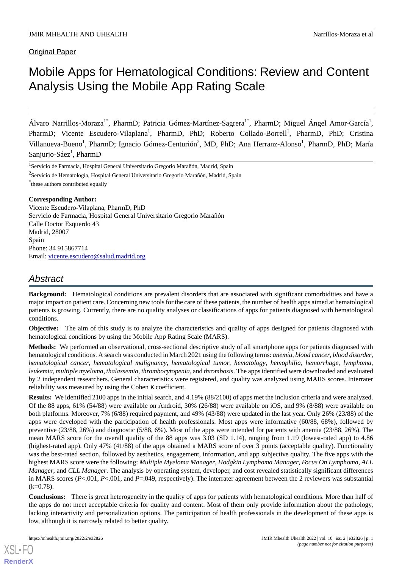Original Paper

# Mobile Apps for Hematological Conditions: Review and Content Analysis Using the Mobile App Rating Scale

Álvaro Narrillos-Moraza<sup>1\*</sup>, PharmD; Patricia Gómez-Martínez-Sagrera<sup>1\*</sup>, PharmD; Miguel Ángel Amor-García<sup>1</sup>, PharmD; Vicente Escudero-Vilaplana<sup>1</sup>, PharmD, PhD; Roberto Collado-Borrell<sup>1</sup>, PharmD, PhD; Cristina Villanueva-Bueno<sup>1</sup>, PharmD; Ignacio Gómez-Centurión<sup>2</sup>, MD, PhD; Ana Herranz-Alonso<sup>1</sup>, PharmD, PhD; María Sanjurjo-Sáez<sup>1</sup>, PharmD

<sup>1</sup> Servicio de Farmacia, Hospital General Universitario Gregorio Marañón, Madrid, Spain

 $^2$ Servicio de Hematología, Hospital General Universitario Gregorio Marañón, Madrid, Spain

\* these authors contributed equally

#### **Corresponding Author:**

Vicente Escudero-Vilaplana, PharmD, PhD Servicio de Farmacia, Hospital General Universitario Gregorio Marañón Calle Doctor Esquerdo 43 Madrid, 28007 Spain Phone: 34 915867714 Email: [vicente.escudero@salud.madrid.org](mailto:vicente.escudero@salud.madrid.org)

# *Abstract*

**Background:** Hematological conditions are prevalent disorders that are associated with significant comorbidities and have a major impact on patient care. Concerning new tools for the care of these patients, the number of health apps aimed at hematological patients is growing. Currently, there are no quality analyses or classifications of apps for patients diagnosed with hematological conditions.

**Objective:** The aim of this study is to analyze the characteristics and quality of apps designed for patients diagnosed with hematological conditions by using the Mobile App Rating Scale (MARS).

**Methods:** We performed an observational, cross-sectional descriptive study of all smartphone apps for patients diagnosed with hematological conditions. A search was conducted in March 2021 using the following terms: *anemia*, *blood cancer*, *blood disorder*, *hematological cancer*, *hematological malignancy*, *hematological tumor*, *hematology*, *hemophilia*, *hemorrhage*, *lymphoma*, *leukemia*, *multiple myeloma*, *thalassemia*, *thrombocytopenia*, and *thrombosis*. The apps identified were downloaded and evaluated by 2 independent researchers. General characteristics were registered, and quality was analyzed using MARS scores. Interrater reliability was measured by using the Cohen κ coefficient.

**Results:** We identified 2100 apps in the initial search, and 4.19% (88/2100) of apps met the inclusion criteria and were analyzed. Of the 88 apps, 61% (54/88) were available on Android, 30% (26/88) were available on iOS, and 9% (8/88) were available on both platforms. Moreover, 7% (6/88) required payment, and 49% (43/88) were updated in the last year. Only 26% (23/88) of the apps were developed with the participation of health professionals. Most apps were informative (60/88, 68%), followed by preventive (23/88, 26%) and diagnostic (5/88, 6%). Most of the apps were intended for patients with anemia (23/88, 26%). The mean MARS score for the overall quality of the 88 apps was 3.03 (SD 1.14), ranging from 1.19 (lowest-rated app) to 4.86 (highest-rated app). Only 47% (41/88) of the apps obtained a MARS score of over 3 points (acceptable quality). Functionality was the best-rated section, followed by aesthetics, engagement, information, and app subjective quality. The five apps with the highest MARS score were the following: *Multiple Myeloma Manager*, *Hodgkin Lymphoma Manager*, *Focus On Lymphoma*, *ALL Manager*, and *CLL Manager*. The analysis by operating system, developer, and cost revealed statistically significant differences in MARS scores (*P*<.001, *P*<.001, and *P*=.049, respectively). The interrater agreement between the 2 reviewers was substantial  $(k=0.78)$ .

**Conclusions:** There is great heterogeneity in the quality of apps for patients with hematological conditions. More than half of the apps do not meet acceptable criteria for quality and content. Most of them only provide information about the pathology, lacking interactivity and personalization options. The participation of health professionals in the development of these apps is low, although it is narrowly related to better quality.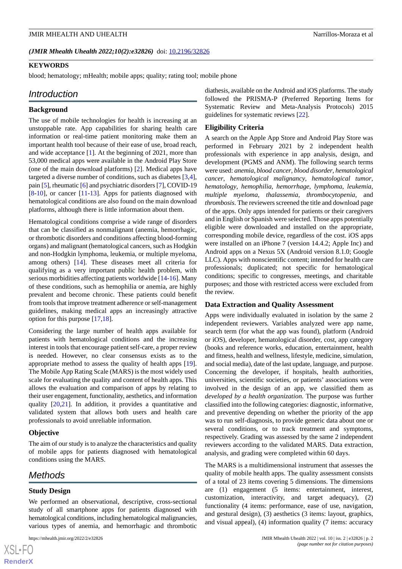#### (JMIR Mhealth Uhealth 2022;10(2):e32826) doi: [10.2196/32826](http://dx.doi.org/10.2196/32826)

#### **KEYWORDS**

blood; hematology; mHealth; mobile apps; quality; rating tool; mobile phone

#### *Introduction*

#### **Background**

The use of mobile technologies for health is increasing at an unstoppable rate. App capabilities for sharing health care information or real-time patient monitoring make them an important health tool because of their ease of use, broad reach, and wide acceptance [[1\]](#page-14-0). At the beginning of 2021, more than 53,000 medical apps were available in the Android Play Store (one of the main download platforms) [\[2\]](#page-14-1). Medical apps have targeted a diverse number of conditions, such as diabetes [\[3](#page-14-2),[4\]](#page-14-3), pain [[5\]](#page-14-4), rheumatic [\[6\]](#page-14-5) and psychiatric disorders [\[7\]](#page-14-6), COVID-19 [[8](#page-14-7)[-10](#page-14-8)], or cancer [[11](#page-15-0)[-13](#page-15-1)]. Apps for patients diagnosed with hematological conditions are also found on the main download platforms, although there is little information about them.

Hematological conditions comprise a wide range of disorders that can be classified as nonmalignant (anemia, hemorrhagic, or thrombotic disorders and conditions affecting blood-forming organs) and malignant (hematological cancers, such as Hodgkin and non-Hodgkin lymphoma, leukemia, or multiple myeloma, among others) [\[14](#page-15-2)]. These diseases meet all criteria for qualifying as a very important public health problem, with serious morbidities affecting patients worldwide [[14-](#page-15-2)[16\]](#page-15-3). Many of these conditions, such as hemophilia or anemia, are highly prevalent and become chronic. These patients could benefit from tools that improve treatment adherence or self-management guidelines, making medical apps an increasingly attractive option for this purpose [\[17](#page-15-4),[18\]](#page-15-5).

Considering the large number of health apps available for patients with hematological conditions and the increasing interest in tools that encourage patient self-care, a proper review is needed. However, no clear consensus exists as to the appropriate method to assess the quality of health apps [[19\]](#page-15-6). The Mobile App Rating Scale (MARS) is the most widely used scale for evaluating the quality and content of health apps. This allows the evaluation and comparison of apps by relating to their user engagement, functionality, aesthetics, and information quality [[20,](#page-15-7)[21](#page-15-8)]. In addition, it provides a quantitative and validated system that allows both users and health care professionals to avoid unreliable information.

#### **Objective**

The aim of our study is to analyze the characteristics and quality of mobile apps for patients diagnosed with hematological conditions using the MARS.

# *Methods*

#### **Study Design**

We performed an observational, descriptive, cross-sectional study of all smartphone apps for patients diagnosed with hematological conditions, including hematological malignancies, various types of anemia, and hemorrhagic and thrombotic

diathesis, available on the Android and iOS platforms. The study followed the PRISMA-P (Preferred Reporting Items for Systematic Review and Meta-Analysis Protocols) 2015 guidelines for systematic reviews [[22\]](#page-15-9).

#### **Eligibility Criteria**

A search on the Apple App Store and Android Play Store was performed in February 2021 by 2 independent health professionals with experience in app analysis, design, and development (PGMS and ANM). The following search terms were used: *anemia*, *blood cancer*, *blood disorder*, *hematological cancer*, *hematological malignancy*, *hematological tumor*, *hematology*, *hemophilia*, *hemorrhage*, *lymphoma*, *leukemia*, *multiple myeloma*, *thalassemia*, *thrombocytopenia*, and *thrombosis*. The reviewers screened the title and download page of the apps. Only apps intended for patients or their caregivers and in English or Spanish were selected. Those apps potentially eligible were downloaded and installed on the appropriate, corresponding mobile device, regardless of the cost. iOS apps were installed on an iPhone 7 (version 14.4.2; Apple Inc) and Android apps on a Nexus 5X (Android version 8.1.0; Google LLC). Apps with nonscientific content; intended for health care professionals; duplicated; not specific for hematological conditions; specific to congresses, meetings, and charitable purposes; and those with restricted access were excluded from the review.

#### **Data Extraction and Quality Assessment**

Apps were individually evaluated in isolation by the same 2 independent reviewers. Variables analyzed were app name, search term (for what the app was found), platform (Android or iOS), developer, hematological disorder, cost, app category (books and reference works, education, entertainment, health and fitness, health and wellness, lifestyle, medicine, simulation, and social media), date of the last update, language, and purpose. Concerning the developer, if hospitals, health authorities, universities, scientific societies, or patients' associations were involved in the design of an app, we classified them as *developed by a health organization*. The purpose was further classified into the following categories: diagnostic, informative, and preventive depending on whether the priority of the app was to run self-diagnosis, to provide generic data about one or several conditions, or to track treatment and symptoms, respectively. Grading was assessed by the same 2 independent reviewers according to the validated MARS. Data extraction, analysis, and grading were completed within 60 days.

The MARS is a multidimensional instrument that assesses the quality of mobile health apps. The quality assessment consists of a total of 23 items covering 5 dimensions. The dimensions are (1) engagement (5 items: entertainment, interest, customization, interactivity, and target adequacy), (2) functionality (4 items: performance, ease of use, navigation, and gestural design), (3) aesthetics (3 items: layout, graphics, and visual appeal), (4) information quality (7 items: accuracy

 $XS$  $\cdot$ FC **[RenderX](http://www.renderx.com/)**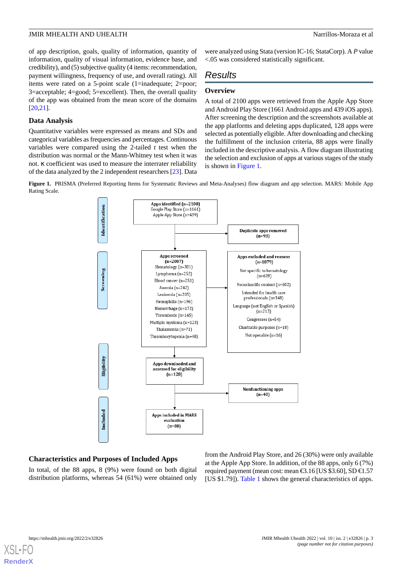of app description, goals, quality of information, quantity of information, quality of visual information, evidence base, and credibility), and (5) subjective quality (4 items: recommendation, payment willingness, frequency of use, and overall rating). All items were rated on a 5-point scale (1=inadequate; 2=poor; 3=acceptable; 4=good; 5=excellent). Then, the overall quality of the app was obtained from the mean score of the domains [[20](#page-15-7)[,21](#page-15-8)].

#### **Data Analysis**

Quantitative variables were expressed as means and SDs and categorical variables as frequencies and percentages. Continuous variables were compared using the 2-tailed *t* test when the distribution was normal or the Mann-Whitney test when it was not. κ coefficient was used to measure the interrater reliability of the data analyzed by the 2 independent researchers [\[23](#page-15-10)]. Data were analyzed using Stata (version IC-16; StataCorp). A *P* value <.05 was considered statistically significant.

# *Results*

#### **Overview**

A total of 2100 apps were retrieved from the Apple App Store and Android Play Store (1661 Android apps and 439 iOS apps). After screening the description and the screenshots available at the app platforms and deleting apps duplicated, 128 apps were selected as potentially eligible. After downloading and checking the fulfillment of the inclusion criteria, 88 apps were finally included in the descriptive analysis. A flow diagram illustrating the selection and exclusion of apps at various stages of the study is shown in [Figure 1](#page-2-0).

<span id="page-2-0"></span>**Figure 1.** PRISMA (Preferred Reporting Items for Systematic Reviews and Meta-Analyses) flow diagram and app selection. MARS: Mobile App Rating Scale.



### **Characteristics and Purposes of Included Apps**

In total, of the 88 apps, 8 (9%) were found on both digital distribution platforms, whereas 54 (61%) were obtained only from the Android Play Store, and 26 (30%) were only available at the Apple App Store. In addition, of the 88 apps, only 6 (7%) required payment (mean cost: mean  $\text{\textsterling}3.16$  [US \$3.60], SD  $\text{\textsterling}1.57$ [US \$1.79]). [Table 1](#page-3-0) shows the general characteristics of apps.

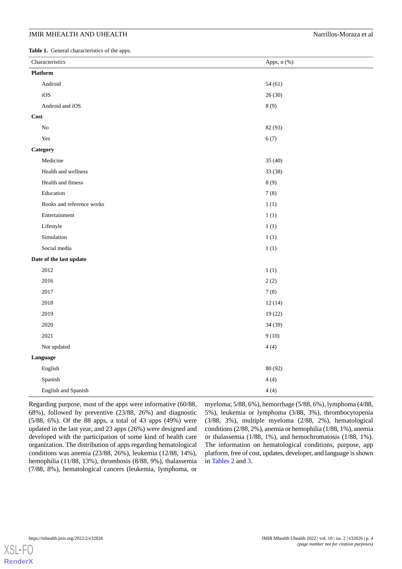#### JMIR MHEALTH AND UHEALTH  $\blacksquare$

<span id="page-3-0"></span>**Table 1.** General characteristics of the apps.

| Characteristics           | Apps, n (%) |
|---------------------------|-------------|
| Platform                  |             |
| Android                   | 54(61)      |
| iOS                       | 26(30)      |
| Android and iOS           | $8(9)$      |
| Cost                      |             |
| No                        | 82 (93)     |
| Yes                       | 6(7)        |
| Category                  |             |
| Medicine                  | 35(40)      |
| Health and wellness       | 33 (38)     |
| Health and fitness        | 8(9)        |
| Education                 | 7(8)        |
| Books and reference works | 1(1)        |
| Entertainment             | 1(1)        |
| Lifestyle                 | 1(1)        |
| Simulation                | 1(1)        |
| Social media              | 1(1)        |
| Date of the last update   |             |
| 2012                      | 1(1)        |
| 2016                      | 2(2)        |
| 2017                      | 7(8)        |
| 2018                      | 12(14)      |
| 2019                      | 19(22)      |
| 2020                      | 34 (39)     |
| 2021                      | 9(10)       |
| Not updated               | 4(4)        |
| Language                  |             |
| English                   | 80 (92)     |
| Spanish                   | 4(4)        |
| English and Spanish       | 4(4)        |

Regarding purpose, most of the apps were informative (60/88, 68%), followed by preventive (23/88, 26%) and diagnostic (5/88, 6%). Of the 88 apps, a total of 43 apps (49%) were updated in the last year, and 23 apps (26%) were designed and developed with the participation of some kind of health care organization. The distribution of apps regarding hematological conditions was anemia (23/88, 26%), leukemia (12/88, 14%), hemophilia (11/88, 13%), thrombosis (8/88, 9%), thalassemia (7/88, 8%), hematological cancers (leukemia, lymphoma, or

myeloma; 5/88, 6%), hemorrhage (5/88, 6%), lymphoma (4/88, 5%), leukemia or lymphoma (3/88, 3%), thrombocytopenia (3/88, 3%), multiple myeloma (2/88, 2%), hematological conditions (2/88, 2%), anemia or hemophilia (1/88, 1%), anemia or thalassemia (1/88, 1%), and hemochromatosis (1/88, 1%). The information on hematological conditions, purpose, app platform, free of cost, updates, developer, and language is shown in [Tables 2](#page-4-0) and [3.](#page-6-0)

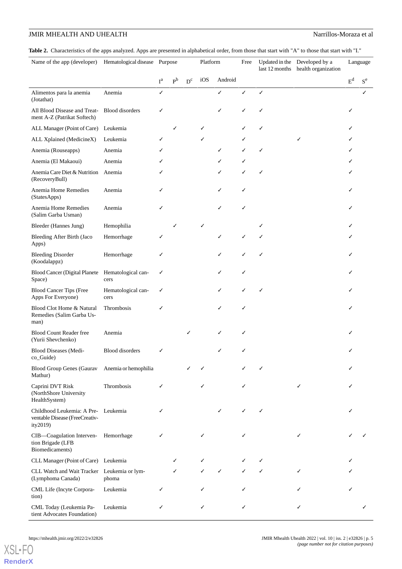### JMIR MHEALTH AND UHEALTH **Natural State of the Contract Analysis of the Contract Analysis of the Narrillos-Moraza et al**

<span id="page-4-0"></span>Table 2. Characteristics of the apps analyzed. Apps are presented in alphabetical order, from those that start with "A" to those that start with "I."

| Name of the app (developer)                                                  | Hematological disease Purpose |                  |       |                         | Platform |         | Free |   | Updated in the Developed by a<br>last 12 months health organization |       | Language |
|------------------------------------------------------------------------------|-------------------------------|------------------|-------|-------------------------|----------|---------|------|---|---------------------------------------------------------------------|-------|----------|
|                                                                              |                               | $I^{\mathrm{a}}$ | $P^b$ | $\mathbf{D}^\mathrm{c}$ | iOS      | Android |      |   |                                                                     | $E^d$ | $S^e$    |
| Alimentos para la anemia<br>(Jotathat)                                       | Anemia                        | ✓                |       |                         |          | ✓       | ✓    | ✓ |                                                                     |       |          |
| All Blood Disease and Treat-<br>ment A-Z (Patrikat Softech)                  | <b>Blood</b> disorders        | ✓                |       |                         |          |         |      |   |                                                                     |       |          |
| ALL Manager (Point of Care)                                                  | Leukemia                      |                  | ✓     |                         | ✓        |         |      |   |                                                                     |       |          |
| ALL Xplained (MedicineX)                                                     | Leukemia                      | ✓                |       |                         | ✓        |         |      |   | ✓                                                                   |       |          |
| Anemia (Rouseapps)                                                           | Anemia                        |                  |       |                         |          | ✓       |      |   |                                                                     |       |          |
| Anemia (El Makaoui)                                                          | Anemia                        |                  |       |                         |          |         |      |   |                                                                     |       |          |
| Anemia Care Diet & Nutrition<br>(RecoveryBull)                               | Anemia                        | ✓                |       |                         |          |         |      | ✓ |                                                                     |       |          |
| Anemia Home Remedies<br>(StatesApps)                                         | Anemia                        | ✓                |       |                         |          |         | ✓    |   |                                                                     |       |          |
| Anemia Home Remedies<br>(Salim Garba Usman)                                  | Anemia                        | ✓                |       |                         |          |         |      |   |                                                                     |       |          |
| Bleeder (Hannes Jung)                                                        | Hemophilia                    |                  |       |                         |          |         |      |   |                                                                     |       |          |
| Bleeding After Birth (Jaco<br>Apps)                                          | Hemorrhage                    | ✓                |       |                         |          | ✓       | ✓    |   |                                                                     |       |          |
| <b>Bleeding Disorder</b><br>(Koodalappz)                                     | Hemorrhage                    | ✓                |       |                         |          |         |      |   |                                                                     |       |          |
| <b>Blood Cancer (Digital Planete</b><br>Space)                               | Hematological can-<br>cers    | ✓                |       |                         |          |         | ✓    |   |                                                                     |       |          |
| <b>Blood Cancer Tips (Free</b><br>Apps For Everyone)                         | Hematological can-<br>cers    | ✓                |       |                         |          |         |      |   |                                                                     |       |          |
| Blood Clot Home & Natural<br>Remedies (Salim Garba Us-<br>man)               | Thrombosis                    | ✓                |       |                         |          |         | ✓    |   |                                                                     |       |          |
| <b>Blood Count Reader free</b><br>(Yurii Shevchenko)                         | Anemia                        |                  |       | ✓                       |          |         | ✓    |   |                                                                     |       |          |
| <b>Blood Diseases (Medi-</b><br>co_Guide)                                    | <b>Blood</b> disorders        | ✓                |       |                         |          |         |      |   |                                                                     |       |          |
| <b>Blood Group Genes (Gaurav</b><br>Mathur)                                  | Anemia or hemophilia          |                  |       |                         |          |         |      |   |                                                                     |       |          |
| Caprini DVT Risk<br>(NorthShore University<br>HealthSystem)                  | Thrombosis                    | ✓                |       |                         | ✓        |         | ✓    |   | ✓                                                                   |       |          |
| Childhood Leukemia: A Pre-<br>ventable Disease (FreeCreativ-<br>ity2019)     | Leukemia                      |                  |       |                         |          |         | ✓    | ✓ |                                                                     |       |          |
| CIB-Coagulation Interven- Hemorrhage<br>tion Brigade (LFB<br>Biomedicaments) |                               | ✓                |       |                         |          |         |      |   | ✓                                                                   |       |          |
| CLL Manager (Point of Care) Leukemia                                         |                               |                  | ✓     |                         | ✓        |         |      |   |                                                                     |       |          |
| CLL Watch and Wait Tracker Leukemia or lym-<br>(Lymphoma Canada)             | phoma                         |                  | ✓     |                         | ✓        | ✓       |      |   | ✓                                                                   |       |          |
| CML Life (Incyte Corpora-<br>tion)                                           | Leukemia                      | ✓                |       |                         |          |         |      |   |                                                                     |       |          |
| CML Today (Leukemia Pa-<br>tient Advocates Foundation)                       | Leukemia                      | ✓                |       |                         | ✓        |         | ✓    |   | ✓                                                                   |       |          |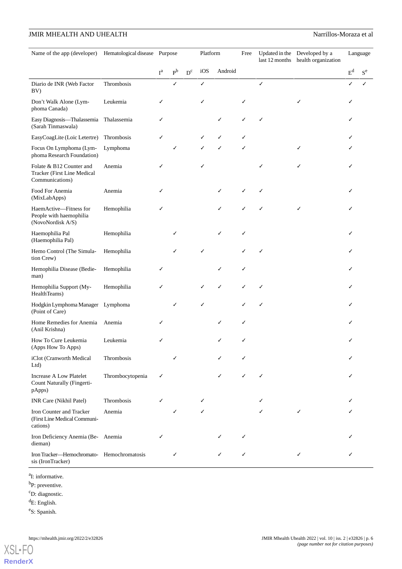| Name of the app (developer) Hematological disease Purpose                  |                  |       |       | Platform                |     | Free    |   | Updated in the Developed by a<br>last 12 months health organization |   | Language |       |
|----------------------------------------------------------------------------|------------------|-------|-------|-------------------------|-----|---------|---|---------------------------------------------------------------------|---|----------|-------|
|                                                                            |                  | $I^a$ | $P^b$ | $\mathbf{D}^\mathrm{c}$ | iOS | Android |   |                                                                     |   | $E^d$    | $S^e$ |
| Diario de INR (Web Factor<br>BV)                                           | Thrombosis       |       | ✓     |                         | ✓   |         |   | ✓                                                                   |   | ✓        |       |
| Don't Walk Alone (Lym-<br>phoma Canada)                                    | Leukemia         | ✓     |       |                         | ✓   |         | ✓ |                                                                     | ✓ |          |       |
| Easy Diagnosis-Thalassemia Thalassemia<br>(Sarah Tinmaswala)               |                  | ✓     |       |                         |     | ✓       | ✓ | ✓                                                                   |   |          |       |
| EasyCoagLite (Loic Letertre)                                               | Thrombosis       | ✓     |       |                         |     |         |   |                                                                     |   |          |       |
| Focus On Lymphoma (Lym-<br>phoma Research Foundation)                      | Lymphoma         |       | ✓     |                         | ✓   |         | ✓ |                                                                     | ✓ |          |       |
| Folate & B12 Counter and<br>Tracker (First Line Medical<br>Communications) | Anemia           | ✓     |       |                         | ✓   |         |   |                                                                     | ✓ |          |       |
| Food For Anemia<br>(MixLabApps)                                            | Anemia           | ✓     |       |                         |     |         | ✓ | ✓                                                                   |   |          |       |
| HaemActive-Fitness for<br>People with haemophilia<br>(NovoNordisk A/S)     | Hemophilia       | ✓     |       |                         |     |         |   |                                                                     | ✓ |          |       |
| Haemophilia Pal<br>(Haemophilia Pal)                                       | Hemophilia       |       | ✓     |                         |     |         | ✓ |                                                                     |   |          |       |
| Hemo Control (The Simula-<br>tion Crew)                                    | Hemophilia       |       |       |                         |     |         |   |                                                                     |   |          |       |
| Hemophilia Disease (Bedie-<br>man)                                         | Hemophilia       | ✓     |       |                         |     | ✓       | ✓ |                                                                     |   |          |       |
| Hemophilia Support (My-<br>HealthTeams)                                    | Hemophilia       | ✓     |       |                         |     | ✓       |   |                                                                     |   |          |       |
| Hodgkin Lymphoma Manager Lymphoma<br>(Point of Care)                       |                  |       | ✓     |                         | ✓   |         |   | ✓                                                                   |   |          |       |
| Home Remedies for Anemia<br>(Anil Krishna)                                 | Anemia           | ✓     |       |                         |     | ✓       | ✓ |                                                                     |   |          |       |
| How To Cure Leukemia<br>(Apps How To Apps)                                 | Leukemia         | ✓     |       |                         |     |         |   |                                                                     |   |          |       |
| iClot (Cranworth Medical<br>Ltd                                            | Thrombosis       |       | ✓     |                         |     |         |   |                                                                     |   |          |       |
| <b>Increase A Low Platelet</b><br>Count Naturally (Fingerti-<br>pApps)     | Thrombocytopenia | ✓     |       |                         |     |         |   | ✓                                                                   |   |          |       |
| INR Care (Nikhil Patel)                                                    | Thrombosis       | ✓     |       |                         |     |         |   |                                                                     |   |          |       |
| Iron Counter and Tracker<br>(First Line Medical Communi-<br>cations)       | Anemia           |       | ✓     |                         | ✓   |         |   |                                                                     | ✓ |          |       |
| Iron Deficiency Anemia (Be- Anemia<br>dieman)                              |                  | ✓     |       |                         |     |         |   |                                                                     |   |          |       |
| Iron Tracker-Hemochromato- Hemochromatosis<br>sis (IronTracker)            |                  |       | ✓     |                         |     | ✓       | ✓ |                                                                     | ✓ |          |       |

<sup>a</sup>I: informative.

<sup>b</sup>P: preventive.

<sup>c</sup>D: diagnostic.

 ${}^dE$ : English.

e S: Spanish.

**[RenderX](http://www.renderx.com/)**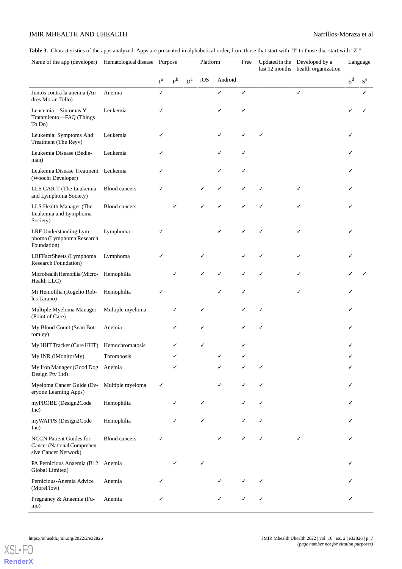### JMIR MHEALTH AND UHEALTH **Natural State of the Contract Analysis of the Contract Analysis of the Narrillos-Moraza et al**

<span id="page-6-0"></span>Table 3. Characteristics of the apps analyzed. Apps are presented in alphabetical order, from those that start with "J" to those that start with "Z."

| Name of the app (developer)                                                           | Hematological disease Purpose |       |       |       | Platform |         |   | Updated in the Developed by a<br>last 12 months health organization |   | Language |       |
|---------------------------------------------------------------------------------------|-------------------------------|-------|-------|-------|----------|---------|---|---------------------------------------------------------------------|---|----------|-------|
|                                                                                       |                               | $I^a$ | $P^b$ | $D^c$ | iOS      | Android |   |                                                                     |   | $E^d$    | $S^e$ |
| Juntos contra la anemia (An-<br>dres Moran Tello)                                     | Anemia                        | ✓     |       |       |          | ✓       | ✓ |                                                                     | ✓ |          | ✓     |
| Leucemia-Sintomas Y<br>Tratamiento-FAQ (Things<br>To Do)                              | Leukemia                      | ✓     |       |       |          |         |   |                                                                     |   |          |       |
| Leukemia: Symptoms And<br>Treatment (The Reyv)                                        | Leukemia                      | ✓     |       |       |          |         |   |                                                                     |   |          |       |
| Leukemia Disease (Bedie-<br>man)                                                      | Leukemia                      | ✓     |       |       |          | ✓       | ✓ |                                                                     |   |          |       |
| Leukemia Disease Treatment Leukemia<br>(Woochi Developer)                             |                               | ✓     |       |       |          | ✓       | ✓ |                                                                     |   |          |       |
| LLS CAR T (The Leukemia<br>and Lymphoma Society)                                      | <b>Blood cancers</b>          | ✓     |       |       | ✓        | ✓       | ✓ | ✓                                                                   | ✓ |          |       |
| LLS Health Manager (The<br>Leukemia and Lymphoma<br>Society)                          | <b>Blood cancers</b>          |       |       |       | ✓        |         |   |                                                                     | ✓ |          |       |
| LRF Understanding Lym-<br>phoma (Lymphoma Research<br>Foundation)                     | Lymphoma                      | ✓     |       |       |          |         |   | ✓                                                                   | ✓ |          |       |
| LRFFactSheets (Lymphoma<br><b>Research Foundation</b> )                               | Lymphoma                      | ✓     |       |       |          |         |   |                                                                     | ✓ |          |       |
| Microhealth Hemofilia (Micro- Hemophilia<br>Health LLC)                               |                               |       |       |       |          |         | ✓ |                                                                     | ✓ |          |       |
| Mi Hemofilia (Rogelio Rob-<br>les Tarano)                                             | Hemophilia                    | ✓     |       |       |          | ✓       | ✓ |                                                                     | ✓ |          |       |
| Multiple Myeloma Manager<br>(Point of Care)                                           | Multiple myeloma              |       | ✓     |       | ✓        |         |   | ✓                                                                   |   |          |       |
| My Blood Count (Sean Bot-<br>tomley)                                                  | Anemia                        |       | ✓     |       | ✓        |         |   |                                                                     |   |          |       |
| My HHT Tracker (Cure HHT)                                                             | Hemochromatosis               |       |       |       |          |         |   |                                                                     |   |          |       |
| My INR (iMonitorMy)                                                                   | <b>Thrombosis</b>             |       | ✓     |       |          |         |   |                                                                     |   |          |       |
| My Iron Manager (Good Dog Anemia<br>Design Pty Ltd)                                   |                               |       | ✓     |       |          |         |   |                                                                     |   |          |       |
| Myeloma Cancer Guide (Ev-<br>eryone Learning Apps)                                    | Multiple myeloma              | ✓     |       |       |          | ✓       | ✓ |                                                                     |   |          |       |
| myPROBE (Design2Code<br>Inc)                                                          | Hemophilia                    |       | ✓     |       | ✓        |         |   |                                                                     |   |          |       |
| myWAPPS (Design2Code<br>Inc)                                                          | Hemophilia                    |       |       |       | ✓        |         |   |                                                                     |   |          |       |
| <b>NCCN</b> Patient Guides for<br>Cancer (National Comprehen-<br>sive Cancer Network) | <b>Blood cancers</b>          | ✓     |       |       |          |         |   |                                                                     | ✓ |          |       |
| PA Pernicious Anaemia (B12 Anemia<br>Global Limited)                                  |                               |       | ✓     |       | ✓        |         |   |                                                                     |   |          |       |
| Pernicious-Anemia Advice<br>(MoreFlow)                                                | Anemia                        | ✓     |       |       |          |         |   |                                                                     |   |          |       |
| Pregnancy & Anaemia (Fu-<br>mo)                                                       | Anemia                        | ✓     |       |       |          |         | ✓ | ✓                                                                   |   |          |       |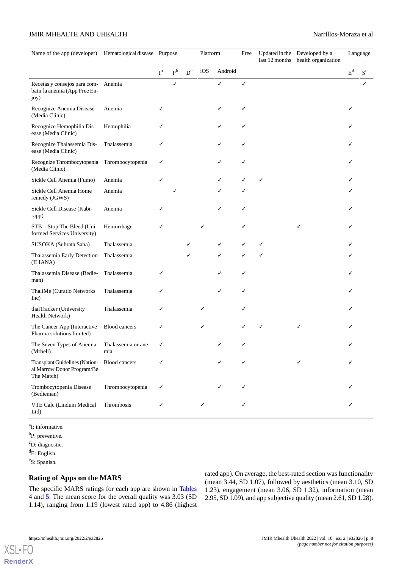| Name of the app (developer) Hematological disease Purpose                               |                            |              |                |       | Platform |         | Free | Updated in the Developed by a<br>last 12 months health organization |       | Language |
|-----------------------------------------------------------------------------------------|----------------------------|--------------|----------------|-------|----------|---------|------|---------------------------------------------------------------------|-------|----------|
|                                                                                         |                            | $I^{\alpha}$ | P <sub>b</sub> | $D^c$ | iOS      | Android |      |                                                                     | $E^d$ | $S^e$    |
| Recetas y consejos para com- Anemia<br>batir la anemia (App Free En-<br>joy)            |                            |              | ✓              |       |          | ✓       | ✓    |                                                                     |       |          |
| Recognize Anemia Disease<br>(Media Clinic)                                              | Anemia                     | ✓            |                |       |          |         | ✓    |                                                                     |       |          |
| Recognize Hemophilia Dis-<br>ease (Media Clinic)                                        | Hemophilia                 | ✓            |                |       |          | ✓       | ✓    |                                                                     |       |          |
| Recognize Thalassemia Dis-<br>ease (Media Clinic)                                       | Thalassemia                | ✓            |                |       |          | ✓       | ✓    |                                                                     |       |          |
| Recognize Thrombocytopenia<br>(Media Clinic)                                            | Thrombocytopenia           | ✓            |                |       |          |         | ✓    |                                                                     |       |          |
| Sickle Cell Anemia (Fumo)                                                               | Anemia                     | ✓            |                |       |          |         |      |                                                                     |       |          |
| Sickle Cell Anemia Home<br>remedy (JGWS)                                                | Anemia                     |              |                |       |          |         |      |                                                                     |       |          |
| Sickle Cell Disease (Kabi-<br>rapp)                                                     | Anemia                     | ✓            |                |       |          | ✓       | ✓    |                                                                     |       |          |
| STB-Stop The Bleed (Uni-<br>formed Services University)                                 | Hemorrhage                 | ✓            |                |       | ✓        |         |      |                                                                     |       |          |
| SUSOKA (Subrata Saha)                                                                   | Thalassemia                |              |                |       |          | ✓       |      |                                                                     |       |          |
| Thalassemia Early Detection<br>(ILIANA)                                                 | Thalassemia                |              |                | ✓     |          | ✓       | ✓    |                                                                     |       |          |
| Thalassemia Disease (Bedie-<br>man)                                                     | Thalassemia                | ✓            |                |       |          |         | ✓    |                                                                     |       |          |
| ThaliMe (Curatio Networks<br>Inc)                                                       | Thalassemia                | ✓            |                |       |          |         | ✓    |                                                                     |       |          |
| thalTracker (University<br>Health Network)                                              | Thalassemia                | ✓            |                |       |          |         | ✓    |                                                                     |       |          |
| The Cancer App (Interactive<br>Pharma solutions limited)                                | <b>Blood</b> cancers       | ✓            |                |       |          |         |      |                                                                     |       |          |
| The Seven Types of Anemia<br>(Mrbeli)                                                   | Thalassemia or ane-<br>mia | ✓            |                |       |          |         | ✓    |                                                                     |       |          |
| Transplant Guidelines (Nation-Blood cancers<br>al Marrow Donor Program/Be<br>The Match) |                            |              |                |       |          |         |      |                                                                     |       |          |
| Trombocytopenia Disease<br>(Bedieman)                                                   | Thrombocytopenia           | ✓            |                |       |          |         |      |                                                                     |       |          |
| VTE Calc (Lindum Medical<br>Ltd)                                                        | Thrombosis                 | ✓            |                |       | ✓        |         |      |                                                                     |       |          |

<sup>a</sup>I: informative.

<sup>b</sup>P: preventive.

<sup>c</sup>D: diagnostic.

 ${}^dE$ : English.

e S: Spanish.

[XSL](http://www.w3.org/Style/XSL)•FO **[RenderX](http://www.renderx.com/)**

### **Rating of Apps on the MARS**

The specific MARS ratings for each app are shown in [Tables](#page-8-0) [4](#page-8-0) and [5.](#page-10-0) The mean score for the overall quality was 3.03 (SD 1.14), ranging from 1.19 (lowest rated app) to 4.86 (highest rated app). On average, the best-rated section was functionality (mean 3.44, SD 1.07), followed by aesthetics (mean 3.10, SD 1.23), engagement (mean 3.06, SD 1.32), information (mean 2.95, SD 1.09), and app subjective quality (mean 2.61, SD 1.28).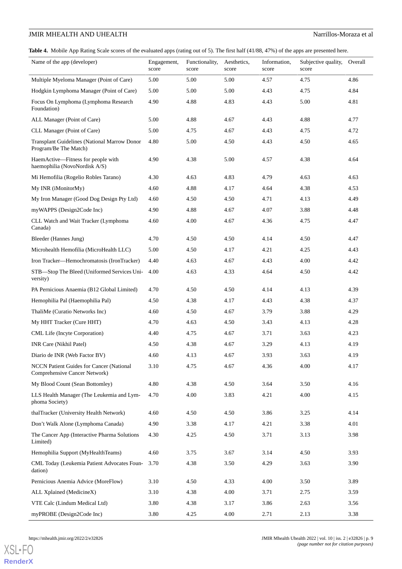### JMIR MHEALTH AND UHEALTH **Natural State of the Contract Analysis of the Contract Analysis of the Narrillos-Moraza et al**

<span id="page-8-0"></span>**Table 4.** Mobile App Rating Scale scores of the evaluated apps (rating out of 5). The first half (41/88, 47%) of the apps are presented here.

| Name of the app (developer)                                               | Engagement,<br>score | Functionality,<br>score | Aesthetics,<br>score | Information,<br>score | Subjective quality,<br>score | Overall |
|---------------------------------------------------------------------------|----------------------|-------------------------|----------------------|-----------------------|------------------------------|---------|
| Multiple Myeloma Manager (Point of Care)                                  | 5.00                 | 5.00                    | 5.00                 | 4.57                  | 4.75                         | 4.86    |
| Hodgkin Lymphoma Manager (Point of Care)                                  | 5.00                 | 5.00                    | 5.00                 | 4.43                  | 4.75                         | 4.84    |
| Focus On Lymphoma (Lymphoma Research<br>Foundation)                       | 4.90                 | 4.88                    | 4.83                 | 4.43                  | 5.00                         | 4.81    |
| ALL Manager (Point of Care)                                               | 5.00                 | 4.88                    | 4.67                 | 4.43                  | 4.88                         | 4.77    |
| CLL Manager (Point of Care)                                               | 5.00                 | 4.75                    | 4.67                 | 4.43                  | 4.75                         | 4.72    |
| Transplant Guidelines (National Marrow Donor<br>Program/Be The Match)     | 4.80                 | 5.00                    | 4.50                 | 4.43                  | 4.50                         | 4.65    |
| HaemActive—Fitness for people with<br>haemophilia (NovoNordisk A/S)       | 4.90                 | 4.38                    | 5.00                 | 4.57                  | 4.38                         | 4.64    |
| Mi Hemofilia (Rogelio Robles Tarano)                                      | 4.30                 | 4.63                    | 4.83                 | 4.79                  | 4.63                         | 4.63    |
| My INR (iMonitorMy)                                                       | 4.60                 | 4.88                    | 4.17                 | 4.64                  | 4.38                         | 4.53    |
| My Iron Manager (Good Dog Design Pty Ltd)                                 | 4.60                 | 4.50                    | 4.50                 | 4.71                  | 4.13                         | 4.49    |
| myWAPPS (Design2Code Inc)                                                 | 4.90                 | 4.88                    | 4.67                 | 4.07                  | 3.88                         | 4.48    |
| CLL Watch and Wait Tracker (Lymphoma<br>Canada)                           | 4.60                 | 4.00                    | 4.67                 | 4.36                  | 4.75                         | 4.47    |
| Bleeder (Hannes Jung)                                                     | 4.70                 | 4.50                    | 4.50                 | 4.14                  | 4.50                         | 4.47    |
| Microhealth Hemofilia (MicroHealth LLC)                                   | 5.00                 | 4.50                    | 4.17                 | 4.21                  | 4.25                         | 4.43    |
| Iron Tracker-Hemochromatosis (IronTracker)                                | 4.40                 | 4.63                    | 4.67                 | 4.43                  | 4.00                         | 4.42    |
| STB-Stop The Bleed (Uniformed Services Uni-<br>versity)                   | 4.00                 | 4.63                    | 4.33                 | 4.64                  | 4.50                         | 4.42    |
| PA Pernicious Anaemia (B12 Global Limited)                                | 4.70                 | 4.50                    | 4.50                 | 4.14                  | 4.13                         | 4.39    |
| Hemophilia Pal (Haemophilia Pal)                                          | 4.50                 | 4.38                    | 4.17                 | 4.43                  | 4.38                         | 4.37    |
| ThaliMe (Curatio Networks Inc)                                            | 4.60                 | 4.50                    | 4.67                 | 3.79                  | 3.88                         | 4.29    |
| My HHT Tracker (Cure HHT)                                                 | 4.70                 | 4.63                    | 4.50                 | 3.43                  | 4.13                         | 4.28    |
| CML Life (Incyte Corporation)                                             | 4.40                 | 4.75                    | 4.67                 | 3.71                  | 3.63                         | 4.23    |
| INR Care (Nikhil Patel)                                                   | 4.50                 | 4.38                    | 4.67                 | 3.29                  | 4.13                         | 4.19    |
| Diario de INR (Web Factor BV)                                             | 4.60                 | 4.13                    | 4.67                 | 3.93                  | 3.63                         | 4.19    |
| NCCN Patient Guides for Cancer (National<br>Comprehensive Cancer Network) | 3.10                 | 4.75                    | 4.67                 | 4.36                  | 4.00                         | 4.17    |
| My Blood Count (Sean Bottomley)                                           | 4.80                 | 4.38                    | 4.50                 | 3.64                  | 3.50                         | 4.16    |
| LLS Health Manager (The Leukemia and Lym-<br>phoma Society)               | 4.70                 | 4.00                    | 3.83                 | 4.21                  | 4.00                         | 4.15    |
| thalTracker (University Health Network)                                   | 4.60                 | 4.50                    | 4.50                 | 3.86                  | 3.25                         | 4.14    |
| Don't Walk Alone (Lymphoma Canada)                                        | 4.90                 | 3.38                    | 4.17                 | 4.21                  | 3.38                         | 4.01    |
| The Cancer App (Interactive Pharma Solutions<br>Limited)                  | 4.30                 | 4.25                    | 4.50                 | 3.71                  | 3.13                         | 3.98    |
| Hemophilia Support (MyHealthTeams)                                        | 4.60                 | 3.75                    | 3.67                 | 3.14                  | 4.50                         | 3.93    |
| CML Today (Leukemia Patient Advocates Foun-<br>dation)                    | 3.70                 | 4.38                    | 3.50                 | 4.29                  | 3.63                         | 3.90    |
| Pernicious Anemia Advice (MoreFlow)                                       | 3.10                 | 4.50                    | 4.33                 | 4.00                  | 3.50                         | 3.89    |
| ALL Xplained (MedicineX)                                                  | 3.10                 | 4.38                    | 4.00                 | 3.71                  | 2.75                         | 3.59    |
| VTE Calc (Lindum Medical Ltd)                                             | 3.80                 | 4.38                    | 3.17                 | 3.86                  | 2.63                         | 3.56    |
| myPROBE (Design2Code Inc)                                                 | 3.80                 | 4.25                    | 4.00                 | 2.71                  | 2.13                         | 3.38    |

```
https://mhealth.jmir.org/2022/2/e32826 JMIR Mhealth Uhealth 2022 | vol. 10 | iss. 2 | e32826 | p. 9
                                                                           (page number not for citation purposes)
```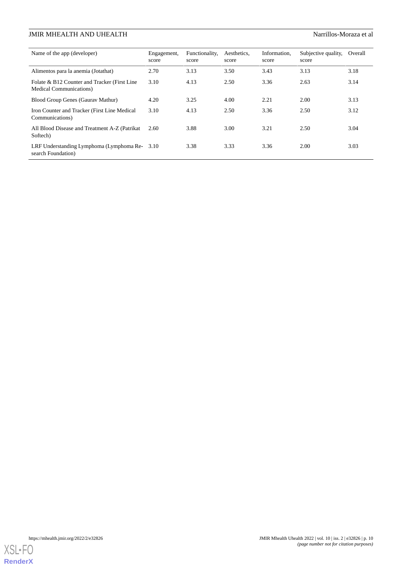| Name of the app (developer)                                             | Engagement,<br>score | Functionality.<br>score | Aesthetics.<br>score | Information.<br>score | Subjective quality,<br>score | Overall |
|-------------------------------------------------------------------------|----------------------|-------------------------|----------------------|-----------------------|------------------------------|---------|
| Alimentos para la anemia (Jotathat)                                     | 2.70                 | 3.13                    | 3.50                 | 3.43                  | 3.13                         | 3.18    |
| Folate & B12 Counter and Tracker (First Line<br>Medical Communications) | 3.10                 | 4.13                    | 2.50                 | 3.36                  | 2.63                         | 3.14    |
| Blood Group Genes (Gauray Mathur)                                       | 4.20                 | 3.25                    | 4.00                 | 2.21                  | 2.00                         | 3.13    |
| Iron Counter and Tracker (First Line Medical<br>Communications)         | 3.10                 | 4.13                    | 2.50                 | 3.36                  | 2.50                         | 3.12    |
| All Blood Disease and Treatment A-Z (Patrikat<br>Softech)               | 2.60                 | 3.88                    | 3.00                 | 3.21                  | 2.50                         | 3.04    |
| LRF Understanding Lymphoma (Lymphoma Re-3.10)<br>search Foundation)     |                      | 3.38                    | 3.33                 | 3.36                  | 2.00                         | 3.03    |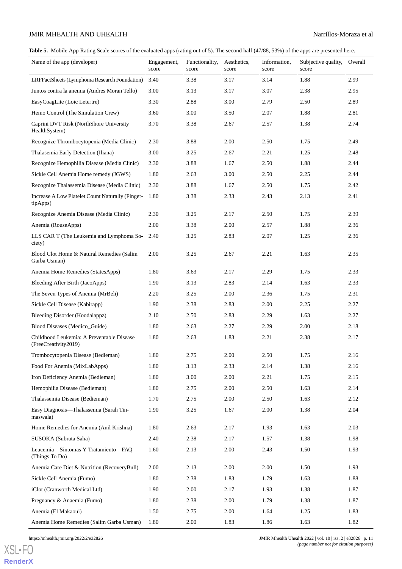<span id="page-10-0"></span>Table 5. Mobile App Rating Scale scores of the evaluated apps (rating out of 5). The second half (47/88, 53%) of the apps are presented here.

| Name of the app (developer)                                       | Engagement,<br>score | Functionality,<br>score | Aesthetics,<br>score | Information,<br>score | Subjective quality,<br>score | Overall |
|-------------------------------------------------------------------|----------------------|-------------------------|----------------------|-----------------------|------------------------------|---------|
| LRFFactSheets (Lymphoma Research Foundation)                      | 3.40                 | 3.38                    | 3.17                 | 3.14                  | 1.88                         | 2.99    |
| Juntos contra la anemia (Andres Moran Tello)                      | 3.00                 | 3.13                    | 3.17                 | 3.07                  | 2.38                         | 2.95    |
| EasyCoagLite (Loic Letertre)                                      | 3.30                 | 2.88                    | 3.00                 | 2.79                  | 2.50                         | 2.89    |
| Hemo Control (The Simulation Crew)                                | 3.60                 | 3.00                    | 3.50                 | 2.07                  | 1.88                         | 2.81    |
| Caprini DVT Risk (NorthShore University<br>HealthSystem)          | 3.70                 | 3.38                    | 2.67                 | 2.57                  | 1.38                         | 2.74    |
| Recognize Thrombocytopenia (Media Clinic)                         | 2.30                 | 3.88                    | 2.00                 | 2.50                  | 1.75                         | 2.49    |
| Thalasemia Early Detection (Iliana)                               | 3.00                 | 3.25                    | 2.67                 | 2.21                  | 1.25                         | 2.48    |
| Recognize Hemophilia Disease (Media Clinic)                       | 2.30                 | 3.88                    | 1.67                 | 2.50                  | 1.88                         | 2.44    |
| Sickle Cell Anemia Home remedy (JGWS)                             | 1.80                 | 2.63                    | 3.00                 | 2.50                  | 2.25                         | 2.44    |
| Recognize Thalassemia Disease (Media Clinic)                      | 2.30                 | 3.88                    | 1.67                 | 2.50                  | 1.75                         | 2.42    |
| Increase A Low Platelet Count Naturally (Finger-<br>tipApps)      | 1.80                 | 3.38                    | 2.33                 | 2.43                  | 2.13                         | 2.41    |
| Recognize Anemia Disease (Media Clinic)                           | 2.30                 | 3.25                    | 2.17                 | 2.50                  | 1.75                         | 2.39    |
| Anemia (RouseApps)                                                | 2.00                 | 3.38                    | 2.00                 | 2.57                  | 1.88                         | 2.36    |
| LLS CAR T (The Leukemia and Lymphoma So-<br>ciety)                | 2.40                 | 3.25                    | 2.83                 | 2.07                  | 1.25                         | 2.36    |
| Blood Clot Home & Natural Remedies (Salim<br>Garba Usman)         | 2.00                 | 3.25                    | 2.67                 | 2.21                  | 1.63                         | 2.35    |
| Anemia Home Remedies (StatesApps)                                 | 1.80                 | 3.63                    | 2.17                 | 2.29                  | 1.75                         | 2.33    |
| Bleeding After Birth (JacoApps)                                   | 1.90                 | 3.13                    | 2.83                 | 2.14                  | 1.63                         | 2.33    |
| The Seven Types of Anemia (MrBeli)                                | 2.20                 | 3.25                    | 2.00                 | 2.36                  | 1.75                         | 2.31    |
| Sickle Cell Disease (Kabirapp)                                    | 1.90                 | 2.38                    | 2.83                 | 2.00                  | 2.25                         | 2.27    |
| Bleeding Disorder (Koodalappz)                                    | 2.10                 | 2.50                    | 2.83                 | 2.29                  | 1.63                         | 2.27    |
| Blood Diseases (Medico_Guide)                                     | 1.80                 | 2.63                    | 2.27                 | 2.29                  | 2.00                         | 2.18    |
| Childhood Leukemia: A Preventable Disease<br>(FreeCreativity2019) | 1.80                 | 2.63                    | 1.83                 | 2.21                  | 2.38                         | 2.17    |
| Trombocytopenia Disease (Bedieman)                                | 1.80                 | 2.75                    | 2.00                 | 2.50                  | 1.75                         | 2.16    |
| Food For Anemia (MixLabApps)                                      | 1.80                 | 3.13                    | 2.33                 | 2.14                  | 1.38                         | 2.16    |
| Iron Deficiency Anemia (Bedieman)                                 | 1.80                 | 3.00                    | 2.00                 | 2.21                  | 1.75                         | 2.15    |
| Hemophilia Disease (Bedieman)                                     | 1.80                 | 2.75                    | 2.00                 | 2.50                  | 1.63                         | 2.14    |
| Thalassemia Disease (Bedieman)                                    | 1.70                 | 2.75                    | 2.00                 | 2.50                  | 1.63                         | 2.12    |
| Easy Diagnosis-Thalassemia (Sarah Tin-<br>maswala)                | 1.90                 | 3.25                    | 1.67                 | 2.00                  | 1.38                         | 2.04    |
| Home Remedies for Anemia (Anil Krishna)                           | 1.80                 | 2.63                    | 2.17                 | 1.93                  | 1.63                         | 2.03    |
| SUSOKA (Subrata Saha)                                             | 2.40                 | 2.38                    | 2.17                 | 1.57                  | 1.38                         | 1.98    |
| Leucemia-Sintomas Y Tratamiento-FAQ<br>(Things To Do)             | 1.60                 | 2.13                    | 2.00                 | 2.43                  | 1.50                         | 1.93    |
| Anemia Care Diet & Nutrition (RecoveryBull)                       | 2.00                 | 2.13                    | 2.00                 | 2.00                  | 1.50                         | 1.93    |
| Sickle Cell Anemia (Fumo)                                         | 1.80                 | 2.38                    | 1.83                 | 1.79                  | 1.63                         | 1.88    |
| iClot (Cranworth Medical Ltd)                                     | 1.90                 | 2.00                    | 2.17                 | 1.93                  | 1.38                         | 1.87    |
| Pregnancy & Anaemia (Fumo)                                        | 1.80                 | 2.38                    | 2.00                 | 1.79                  | 1.38                         | 1.87    |
| Anemia (El Makaoui)                                               | 1.50                 | 2.75                    | 2.00                 | 1.64                  | 1.25                         | 1.83    |
| Anemia Home Remedies (Salim Garba Usman)                          | 1.80                 | 2.00                    | 1.83                 | 1.86                  | 1.63                         | 1.82    |

[XSL](http://www.w3.org/Style/XSL)•FO **[RenderX](http://www.renderx.com/)**

https://mhealth.jmir.org/2022/2/e32826 p. 11<br>JMIR Mhealth Uhealth 2022 | vol. 10 | iss. 2 | e32826 | p. 11 *(page number not for citation purposes)*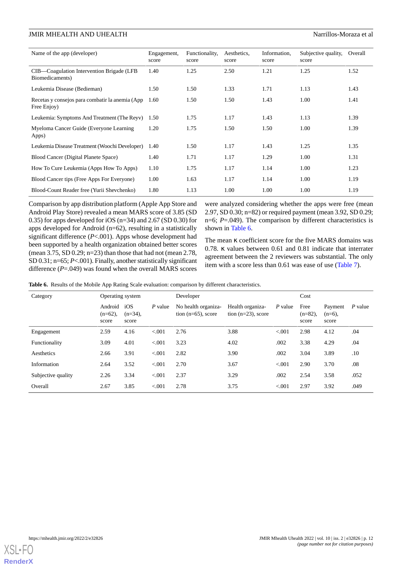| Name of the app (developer)                                    | Engagement,<br>score | Functionality.<br>score | Aesthetics,<br>score | Information.<br>score | Subjective quality,<br>score | Overall |
|----------------------------------------------------------------|----------------------|-------------------------|----------------------|-----------------------|------------------------------|---------|
| CIB—Coagulation Intervention Brigade (LFB<br>Biomedicaments)   | 1.40                 | 1.25                    | 2.50                 | 1.21                  | 1.25                         | 1.52    |
| Leukemia Disease (Bedieman)                                    | 1.50                 | 1.50                    | 1.33                 | 1.71                  | 1.13                         | 1.43    |
| Recetas y consejos para combatir la anemia (App<br>Free Enjoy) | 1.60                 | 1.50                    | 1.50                 | 1.43                  | 1.00                         | 1.41    |
| Leukemia: Symptoms And Treatment (The Reyv)                    | 1.50                 | 1.75                    | 1.17                 | 1.43                  | 1.13                         | 1.39    |
| Myeloma Cancer Guide (Everyone Learning)<br>Apps)              | 1.20                 | 1.75                    | 1.50                 | 1.50                  | 1.00                         | 1.39    |
| Leukemia Disease Treatment (Woochi Developer)                  | 1.40                 | 1.50                    | 1.17                 | 1.43                  | 1.25                         | 1.35    |
| Blood Cancer (Digital Planete Space)                           | 1.40                 | 1.71                    | 1.17                 | 1.29                  | 1.00                         | 1.31    |
| How To Cure Leukemia (Apps How To Apps)                        | 1.10                 | 1.75                    | 1.17                 | 1.14                  | 1.00                         | 1.23    |
| Blood Cancer tips (Free Apps For Everyone)                     | 1.00                 | 1.63                    | 1.17                 | 1.14                  | 1.00                         | 1.19    |
| Blood-Count Reader free (Yurii Shevchenko)                     | 1.80                 | 1.13                    | 1.00                 | 1.00                  | 1.00                         | 1.19    |

Comparison by app distribution platform (Apple App Store and Android Play Store) revealed a mean MARS score of 3.85 (SD 0.35) for apps developed for iOS (n=34) and 2.67 (SD 0.30) for apps developed for Android (n=62), resulting in a statistically significant difference (*P*<.001). Apps whose development had been supported by a health organization obtained better scores (mean 3.75, SD 0.29; n=23) than those that had not (mean 2.78, SD 0.31; n=65; *P*<.001). Finally, another statistically significant difference (*P*=.049) was found when the overall MARS scores

were analyzed considering whether the apps were free (mean 2.97, SD 0.30; n=82) or required payment (mean 3.92, SD 0.29; n=6; *P*=.049). The comparison by different characteristics is shown in [Table 6.](#page-11-0)

The mean κ coefficient score for the five MARS domains was 0.78. κ values between 0.61 and 0.81 indicate that interrater agreement between the 2 reviewers was substantial. The only item with a score less than 0.61 was ease of use ([Table 7](#page-12-0)).

<span id="page-11-0"></span>**Table 6.** Results of the Mobile App Rating Scale evaluation: comparison by different characteristics.

| Operating system<br>Category |                                |                            |         | Developer                                    |                                           |           | Cost                        |                               |           |
|------------------------------|--------------------------------|----------------------------|---------|----------------------------------------------|-------------------------------------------|-----------|-----------------------------|-------------------------------|-----------|
|                              | Android<br>$(n=62)$ ,<br>score | iOS<br>$(n=34)$ .<br>score | P value | No health organiza-<br>tion $(n=65)$ , score | Health organiza-<br>tion $(n=23)$ , score | $P$ value | Free<br>$(n=82)$ ,<br>score | Payment<br>$(n=6)$ ,<br>score | $P$ value |
| Engagement                   | 2.59                           | 4.16                       | < 0.001 | 2.76                                         | 3.88                                      | < 0.001   | 2.98                        | 4.12                          | .04       |
| Functionality                | 3.09                           | 4.01                       | < 0.001 | 3.23                                         | 4.02                                      | .002      | 3.38                        | 4.29                          | .04       |
| Aesthetics                   | 2.66                           | 3.91                       | < 0.001 | 2.82                                         | 3.90                                      | .002      | 3.04                        | 3.89                          | .10       |
| Information                  | 2.64                           | 3.52                       | < 0.001 | 2.70                                         | 3.67                                      | < 0.001   | 2.90                        | 3.70                          | .08       |
| Subjective quality           | 2.26                           | 3.34                       | < 0.001 | 2.37                                         | 3.29                                      | .002      | 2.54                        | 3.58                          | .052      |
| Overall                      | 2.67                           | 3.85                       | < 0.001 | 2.78                                         | 3.75                                      | < 0.001   | 2.97                        | 3.92                          | .049      |

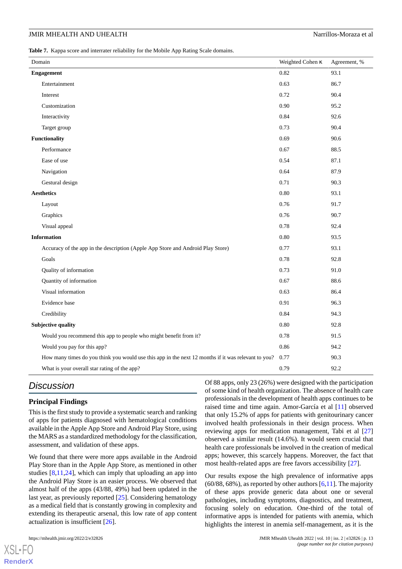<span id="page-12-0"></span>**Table 7.** Kappa score and interrater reliability for the Mobile App Rating Scale domains.

| Domain                                                                                              | Weighted Cohen K | Agreement, % |
|-----------------------------------------------------------------------------------------------------|------------------|--------------|
| Engagement                                                                                          | 0.82             | 93.1         |
| Entertainment                                                                                       | 0.63             | 86.7         |
| Interest                                                                                            | 0.72             | 90.4         |
| Customization                                                                                       | 0.90             | 95.2         |
| Interactivity                                                                                       | 0.84             | 92.6         |
| Target group                                                                                        | 0.73             | 90.4         |
| <b>Functionality</b>                                                                                | 0.69             | 90.6         |
| Performance                                                                                         | 0.67             | 88.5         |
| Ease of use                                                                                         | 0.54             | 87.1         |
| Navigation                                                                                          | 0.64             | 87.9         |
| Gestural design                                                                                     | 0.71             | 90.3         |
| <b>Aesthetics</b>                                                                                   | $0.80\,$         | 93.1         |
| Layout                                                                                              | 0.76             | 91.7         |
| Graphics                                                                                            | 0.76             | 90.7         |
| Visual appeal                                                                                       | 0.78             | 92.4         |
| <b>Information</b>                                                                                  | $0.80\,$         | 93.5         |
| Accuracy of the app in the description (Apple App Store and Android Play Store)                     | 0.77             | 93.1         |
| Goals                                                                                               | 0.78             | 92.8         |
| Quality of information                                                                              | 0.73             | 91.0         |
| Quantity of information                                                                             | 0.67             | 88.6         |
| Visual information                                                                                  | 0.63             | 86.4         |
| Evidence base                                                                                       | 0.91             | 96.3         |
| Credibility                                                                                         | 0.84             | 94.3         |
| <b>Subjective quality</b>                                                                           | $0.80\,$         | 92.8         |
| Would you recommend this app to people who might benefit from it?                                   | 0.78             | 91.5         |
| Would you pay for this app?                                                                         | 0.86             | 94.2         |
| How many times do you think you would use this app in the next 12 months if it was relevant to you? | 0.77             | 90.3         |
| What is your overall star rating of the app?                                                        | 0.79             | 92.2         |

# *Discussion*

#### **Principal Findings**

This is the first study to provide a systematic search and ranking of apps for patients diagnosed with hematological conditions available in the Apple App Store and Android Play Store, using the MARS as a standardized methodology for the classification, assessment, and validation of these apps.

We found that there were more apps available in the Android Play Store than in the Apple App Store, as mentioned in other studies [\[8,](#page-14-7)[11](#page-15-0)[,24](#page-15-11)], which can imply that uploading an app into the Android Play Store is an easier process. We observed that almost half of the apps (43/88, 49%) had been updated in the last year, as previously reported [[25\]](#page-15-12). Considering hematology as a medical field that is constantly growing in complexity and extending its therapeutic arsenal, this low rate of app content actualization is insufficient [\[26](#page-15-13)].

[XSL](http://www.w3.org/Style/XSL)•FO **[RenderX](http://www.renderx.com/)**

Of 88 apps, only 23 (26%) were designed with the participation of some kind of health organization. The absence of health care professionals in the development of health apps continues to be raised time and time again. Amor-García et al [\[11](#page-15-0)] observed that only 15.2% of apps for patients with genitourinary cancer involved health professionals in their design process. When reviewing apps for medication management, Tabi et al [\[27](#page-15-14)] observed a similar result (14.6%). It would seem crucial that health care professionals be involved in the creation of medical apps; however, this scarcely happens. Moreover, the fact that most health-related apps are free favors accessibility [[27\]](#page-15-14).

Our results expose the high prevalence of informative apps  $(60/88, 68\%)$  $(60/88, 68\%)$  $(60/88, 68\%)$ , as reported by other authors  $[6,11]$  $[6,11]$  $[6,11]$ . The majority of these apps provide generic data about one or several pathologies, including symptoms, diagnostics, and treatment, focusing solely on education. One-third of the total of informative apps is intended for patients with anemia, which highlights the interest in anemia self-management, as it is the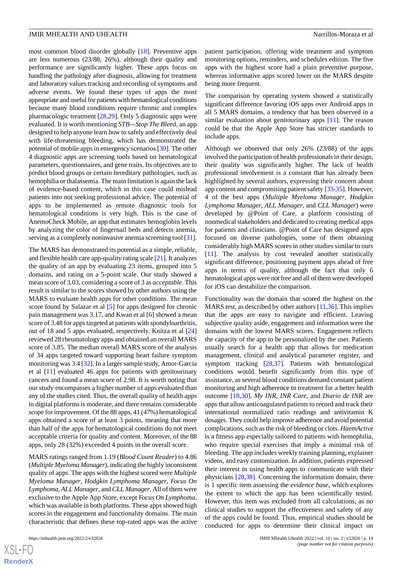most common blood disorder globally [[18\]](#page-15-5). Preventive apps are less numerous (23/88, 26%), although their quality and performance are significantly higher. These apps focus on handling the pathology after diagnosis, allowing for treatment and laboratory values tracking and recording of symptoms and adverse events. We found these types of apps the most appropriate and useful for patients with hematological conditions because many blood conditions require chronic and complex pharmacologic treatment [[28,](#page-15-15)[29](#page-15-16)]. Only 5 diagnostic apps were evaluated. It is worth mentioning *STB—Stop The Bleed*, an app designed to help anyone learn how to safely and effectively deal with life-threatening bleeding, which has demonstrated the potential of mobile apps in emergency scenarios [\[30](#page-15-17)]. The other 4 diagnostic apps are screening tools based on hematological parameters, questionnaires, and gene traits. Its objectives are to predict blood groups or certain hereditary pathologies, such as hemophilia or thalassemia. The main limitation is again the lack of evidence-based content, which in this case could mislead patients into not seeking professional advice. The potential of apps to be implemented as remote diagnostic tools for hematological conditions is very high. This is the case of AnemoCheck Mobile, an app that estimates hemoglobin levels by analyzing the color of fingernail beds and detects anemia, serving as a completely noninvasive anemia screening tool [\[31\]](#page-15-18).

The MARS has demonstrated its potential as a simple, reliable, and flexible health care app-quality rating scale [\[21\]](#page-15-8). It analyzes the quality of an app by evaluating 23 items, grouped into 5 domains, and rating on a 5-point scale. Our study showed a mean score of 3.03, considering a score of 3 as *acceptable*. This result is similar to the scores showed by other authors using the MARS to evaluate health apps for other conditions. The mean score found by Salazar et al [[5\]](#page-14-4) for apps designed for chronic pain management was 3.17, and Kwan et al [\[6](#page-14-5)] showed a mean score of 3.48 for apps targeted at patients with spondyloarthritis, out of 18 and 5 apps evaluated, respectively. Knitza et al [\[24](#page-15-11)] reviewed 28 rheumatology apps and obtained an overall MARS score of 3.85. The median overall MARS score of the analysis of 34 apps targeted toward supporting heart failure symptom monitoring was 3.4 [[32\]](#page-15-19). In a larger sample study, Amor-García et al [[11\]](#page-15-0) evaluated 46 apps for patients with genitourinary cancers and found a mean score of 2.98. It is worth noting that our study encompasses a higher number of apps evaluated than any of the studies cited. Thus, the overall quality of health apps in digital platforms is moderate, and there remains considerable scope for improvement. Of the 88 apps, 41 (47%) hematological apps obtained a score of at least 3 points, meaning that more than half of the apps for hematological conditions do not meet acceptable criteria for quality and content. Moreover, of the 88 apps, only 28 (32%) exceeded 4 points in the overall score.

MARS ratings ranged from 1.19 (*Blood Count Reader*) to 4.86 (*Multiple Myeloma Manager*), indicating the highly inconsistent quality of apps. The apps with the highest scored were *Multiple Myeloma Manager*, *Hodgkin Lymphoma Manager*, *Focus On Lymphoma*, *ALL Manager*, and *CLL Manager*. All of them were exclusive to the Apple App Store, except *Focus On Lymphoma*, which was available in both platforms. These apps showed high scores in the engagement and functionality domains. The main characteristic that defines these top-rated apps was the active

patient participation, offering wide treatment and symptom monitoring options, reminders, and schedules edition. The five apps with the highest score had a plain preventive purpose, whereas informative apps scored lower on the MARS despite being more frequent.

The comparison by operating system showed a statistically significant difference favoring iOS apps over Android apps in all 5 MARS domains, a tendency that has been observed in a similar evaluation about genitourinary apps [\[11](#page-15-0)]. The reason could be that the Apple App Store has stricter standards to include apps.

Although we observed that only 26% (23/88) of the apps involved the participation of health professionals in their design, their quality was significantly higher. The lack of health professional involvement is a constant that has already been highlighted by several authors, expressing their concern about app content and compromising patient safety [\[33](#page-16-0)[-35](#page-16-1)]. However, 4 of the best apps (*Multiple Myeloma Manager*, *Hodgkin Lymphoma Manager*, *ALL Manager*, and *CLL Manager*) were developed by @Point of Care, a platform consisting of nonmedical stakeholders and dedicated to creating medical apps for patients and clinicians. @Point of Care has designed apps focused on diverse pathologies, some of them obtaining considerably high MARS scores in other studies similar to ours [[11\]](#page-15-0). The analysis by cost revealed another statistically significant difference, positioning payment apps ahead of free apps in terms of quality, although the fact that only 6 hematological apps were not free and all of them were developed for iOS can destabilize the comparison.

Functionality was the domain that scored the highest on the MARS test, as described by other authors  $[11,36]$  $[11,36]$  $[11,36]$ . This implies that the apps are easy to navigate and efficient. Leaving subjective quality aside, engagement and information were the domains with the lowest MARS scores. Engagement reflects the capacity of the app to be personalized by the user. Patients usually search for a health app that allows for medication management, clinical and analytical parameter register, and symptom tracking [[28,](#page-15-15)[37](#page-16-3)]. Patients with hematological conditions would benefit significantly from this type of assistance, as several blood conditions demand constant patient monitoring and high adherence to treatment for a better health outcome [[18](#page-15-5)[,30](#page-15-17)]. *My INR*, *INR Care*, and *Diario de INR* are apps that allow anticoagulated patients to record and track their international normalized ratio readings and antivitamin K dosages. They could help improve adherence and avoid potential complications, such as the risk of bleeding or clots. *HaemActive* is a fitness app especially tailored to patients with hemophilia, who require special exercises that imply a minimal risk of bleeding. The app includes weekly training planning, explainer videos, and easy customization. In addition, patients expressed their interest in using health apps to communicate with their physicians [[28](#page-15-15)[,38](#page-16-4)]. Concerning the information domain, there is 1 specific item assessing the *evidence base*, which explores the extent to which the app has been scientifically tested. However, this item was excluded from all calculations, as no clinical studies to support the effectiveness and safety of any of the apps could be found. Thus, empirical studies should be conducted for apps to determine their clinical impact on

 $XSJ \cdot F$ **[RenderX](http://www.renderx.com/)**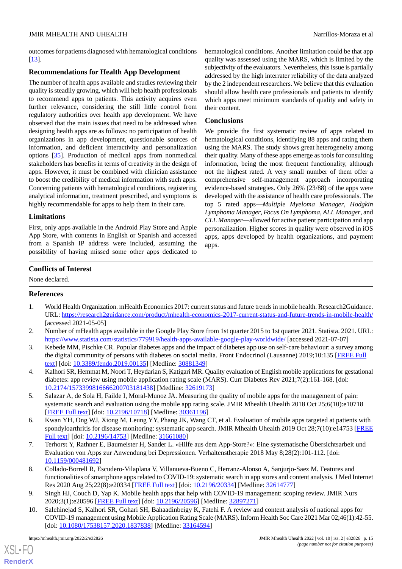outcomes for patients diagnosed with hematological conditions [[13\]](#page-15-1).

#### **Recommendations for Health App Development**

The number of health apps available and studies reviewing their quality is steadily growing, which will help health professionals to recommend apps to patients. This activity acquires even further relevance, considering the still little control from regulatory authorities over health app development. We have observed that the main issues that need to be addressed when designing health apps are as follows: no participation of health organizations in app development, questionable sources of information, and deficient interactivity and personalization options [[35\]](#page-16-1). Production of medical apps from nonmedical stakeholders has benefits in terms of creativity in the design of apps. However, it must be combined with clinician assistance to boost the credibility of medical information with such apps. Concerning patients with hematological conditions, registering analytical information, treatment prescribed, and symptoms is highly recommendable for apps to help them in their care.

#### **Limitations**

First, only apps available in the Android Play Store and Apple App Store, with contents in English or Spanish and accessed from a Spanish IP address were included, assuming the possibility of having missed some other apps dedicated to

hematological conditions. Another limitation could be that app quality was assessed using the MARS, which is limited by the subjectivity of the evaluators. Nevertheless, this issue is partially addressed by the high interrater reliability of the data analyzed by the 2 independent researchers. We believe that this evaluation should allow health care professionals and patients to identify which apps meet minimum standards of quality and safety in their content.

#### **Conclusions**

We provide the first systematic review of apps related to hematological conditions, identifying 88 apps and rating them using the MARS. The study shows great heterogeneity among their quality. Many of these apps emerge as tools for consulting information, being the most frequent functionality, although not the highest rated. A very small number of them offer a comprehensive self-management approach incorporating evidence-based strategies. Only 26% (23/88) of the apps were developed with the assistance of health care professionals. The top 5 rated apps—*Multiple Myeloma Manager*, *Hodgkin Lymphoma Manager*, *Focus On Lymphoma*, *ALL Manager*, and *CLL Manager*—allowed for active patient participation and app personalization. Higher scores in quality were observed in iOS apps, apps developed by health organizations, and payment apps.

### **Conflicts of Interest**

<span id="page-14-0"></span>None declared.

### <span id="page-14-1"></span>**References**

- <span id="page-14-2"></span>1. World Health Organization. mHealth Economics 2017: current status and future trends in mobile health. Research2Guidance. URL:<https://research2guidance.com/product/mhealth-economics-2017-current-status-and-future-trends-in-mobile-health/> [accessed 2021-05-05]
- <span id="page-14-3"></span>2. Number of mHealth apps available in the Google Play Store from 1st quarter 2015 to 1st quarter 2021. Statista. 2021. URL: <https://www.statista.com/statistics/779919/health-apps-available-google-play-worldwide/> [accessed 2021-07-07]
- <span id="page-14-4"></span>3. Kebede MM, Pischke CR. Popular diabetes apps and the impact of diabetes app use on self-care behaviour: a survey among the digital community of persons with diabetes on social media. Front Endocrinol (Lausanne) 2019;10:135 [[FREE Full](https://doi.org/10.3389/fendo.2019.00135) [text](https://doi.org/10.3389/fendo.2019.00135)] [doi: [10.3389/fendo.2019.00135\]](http://dx.doi.org/10.3389/fendo.2019.00135) [Medline: [30881349](http://www.ncbi.nlm.nih.gov/entrez/query.fcgi?cmd=Retrieve&db=PubMed&list_uids=30881349&dopt=Abstract)]
- <span id="page-14-5"></span>4. Kalhori SR, Hemmat M, Noori T, Heydarian S, Katigari MR. Quality evaluation of English mobile applications for gestational diabetes: app review using mobile application rating scale (MARS). Curr Diabetes Rev 2021;7(2):161-168. [doi: [10.2174/1573399816666200703181438\]](http://dx.doi.org/10.2174/1573399816666200703181438) [Medline: [32619173\]](http://www.ncbi.nlm.nih.gov/entrez/query.fcgi?cmd=Retrieve&db=PubMed&list_uids=32619173&dopt=Abstract)
- <span id="page-14-6"></span>5. Salazar A, de Sola H, Failde I, Moral-Munoz JA. Measuring the quality of mobile apps for the management of pain: systematic search and evaluation using the mobile app rating scale. JMIR Mhealth Uhealth 2018 Oct 25;6(10):e10718 [[FREE Full text](http://mhealth.jmir.org/2018/10/e10718/)] [doi: [10.2196/10718\]](http://dx.doi.org/10.2196/10718) [Medline: [30361196\]](http://www.ncbi.nlm.nih.gov/entrez/query.fcgi?cmd=Retrieve&db=PubMed&list_uids=30361196&dopt=Abstract)
- <span id="page-14-7"></span>6. Kwan YH, Ong WJ, Xiong M, Leung YY, Phang JK, Wang CT, et al. Evaluation of mobile apps targeted at patients with spondyloarthritis for disease monitoring: systematic app search. JMIR Mhealth Uhealth 2019 Oct 28;7(10):e14753 [\[FREE](https://mhealth.jmir.org/2019/10/e14753/) [Full text\]](https://mhealth.jmir.org/2019/10/e14753/) [doi: [10.2196/14753\]](http://dx.doi.org/10.2196/14753) [Medline: [31661080](http://www.ncbi.nlm.nih.gov/entrez/query.fcgi?cmd=Retrieve&db=PubMed&list_uids=31661080&dopt=Abstract)]
- 7. Terhorst Y, Rathner E, Baumeister H, Sander L. «Hilfe aus dem App-Store?»: Eine systematische Übersichtsarbeit und Evaluation von Apps zur Anwendung bei Depressionen. Verhaltenstherapie 2018 May 8;28(2):101-112. [doi: [10.1159/000481692\]](http://dx.doi.org/10.1159/000481692)
- <span id="page-14-8"></span>8. Collado-Borrell R, Escudero-Vilaplana V, Villanueva-Bueno C, Herranz-Alonso A, Sanjurjo-Saez M. Features and functionalities of smartphone apps related to COVID-19: systematic search in app stores and content analysis. J Med Internet Res 2020 Aug 25;22(8):e20334 [[FREE Full text](https://www.jmir.org/2020/8/e20334/)] [doi: [10.2196/20334\]](http://dx.doi.org/10.2196/20334) [Medline: [32614777](http://www.ncbi.nlm.nih.gov/entrez/query.fcgi?cmd=Retrieve&db=PubMed&list_uids=32614777&dopt=Abstract)]
- 9. Singh HJ, Couch D, Yap K. Mobile health apps that help with COVID-19 management: scoping review. JMIR Nurs 2020;3(1):e20596 [\[FREE Full text](http://europepmc.org/abstract/MED/32897271)] [doi: [10.2196/20596\]](http://dx.doi.org/10.2196/20596) [Medline: [32897271\]](http://www.ncbi.nlm.nih.gov/entrez/query.fcgi?cmd=Retrieve&db=PubMed&list_uids=32897271&dopt=Abstract)
- 10. Salehinejad S, Kalhori SR, Gohari SH, Bahaadinbeigy K, Fatehi F. A review and content analysis of national apps for COVID-19 management using Mobile Application Rating Scale (MARS). Inform Health Soc Care 2021 Mar 02;46(1):42-55. [doi: [10.1080/17538157.2020.1837838](http://dx.doi.org/10.1080/17538157.2020.1837838)] [Medline: [33164594\]](http://www.ncbi.nlm.nih.gov/entrez/query.fcgi?cmd=Retrieve&db=PubMed&list_uids=33164594&dopt=Abstract)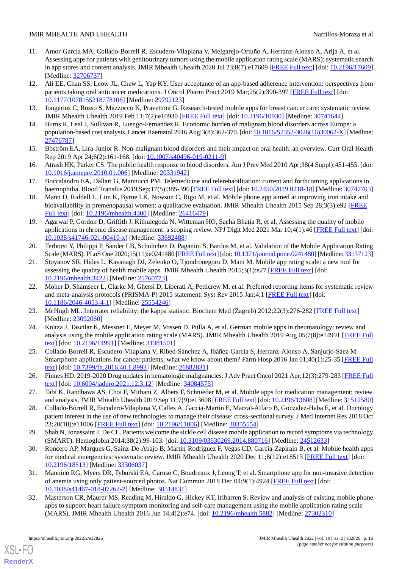- <span id="page-15-0"></span>11. Amor-García MA, Collado-Borrell R, Escudero-Vilaplana V, Melgarejo-Ortuño A, Herranz-Alonso A, Arija A, et al. Assessing apps for patients with genitourinary tumors using the mobile application rating scale (MARS): systematic search in app stores and content analysis. JMIR Mhealth Uhealth 2020 Jul 23;8(7):e17609 [\[FREE Full text](https://mhealth.jmir.org/2020/7/e17609/)] [doi: [10.2196/17609](http://dx.doi.org/10.2196/17609)] [Medline: [32706737](http://www.ncbi.nlm.nih.gov/entrez/query.fcgi?cmd=Retrieve&db=PubMed&list_uids=32706737&dopt=Abstract)]
- 12. Ali EE, Chan SS, Leow JL, Chew L, Yap KY. User acceptance of an app-based adherence intervention: perspectives from patients taking oral anticancer medications. J Oncol Pharm Pract 2019 Mar;25(2):390-397 [\[FREE Full text\]](http://europepmc.org/abstract/MED/29792123) [doi: [10.1177/1078155218778106\]](http://dx.doi.org/10.1177/1078155218778106) [Medline: [29792123\]](http://www.ncbi.nlm.nih.gov/entrez/query.fcgi?cmd=Retrieve&db=PubMed&list_uids=29792123&dopt=Abstract)
- <span id="page-15-2"></span><span id="page-15-1"></span>13. Jongerius C, Russo S, Mazzocco K, Pravettoni G. Research-tested mobile apps for breast cancer care: systematic review. JMIR Mhealth Uhealth 2019 Feb 11;7(2):e10930 [\[FREE Full text\]](https://mhealth.jmir.org/2019/2/e10930/) [doi: [10.2196/10930](http://dx.doi.org/10.2196/10930)] [Medline: [30741644\]](http://www.ncbi.nlm.nih.gov/entrez/query.fcgi?cmd=Retrieve&db=PubMed&list_uids=30741644&dopt=Abstract)
- 14. Burns R, Leal J, Sullivan R, Luengo-Fernandez R. Economic burden of malignant blood disorders across Europe: a population-based cost analysis. Lancet Haematol 2016 Aug;3(8):362-370. [doi: [10.1016/S2352-3026\(16\)30062-X](http://dx.doi.org/10.1016/S2352-3026(16)30062-X)] [Medline: [27476787](http://www.ncbi.nlm.nih.gov/entrez/query.fcgi?cmd=Retrieve&db=PubMed&list_uids=27476787&dopt=Abstract)]
- <span id="page-15-3"></span>15. Boström EA, Lira-Junior R. Non-malignant blood disorders and their impact on oral health: an overview. Curr Oral Health Rep 2019 Apr 24;6(2):161-168. [doi: [10.1007/s40496-019-0211-9\]](http://dx.doi.org/10.1007/s40496-019-0211-9)
- <span id="page-15-4"></span>16. Atrash HK, Parker CS. The public health response to blood disorders. Am J Prev Med 2010 Apr;38(4 Suppl):451-455. [doi: [10.1016/j.amepre.2010.01.006](http://dx.doi.org/10.1016/j.amepre.2010.01.006)] [Medline: [20331942\]](http://www.ncbi.nlm.nih.gov/entrez/query.fcgi?cmd=Retrieve&db=PubMed&list_uids=20331942&dopt=Abstract)
- <span id="page-15-5"></span>17. Boccalandro EA, Dallari G, Mannucci PM. Telemedicine and telerehabilitation: current and forthcoming applications in haemophilia. Blood Transfus 2019 Sep;17(5):385-390 [\[FREE Full text\]](https://doi.org/10.2450/2019.0218-18) [doi: [10.2450/2019.0218-18\]](http://dx.doi.org/10.2450/2019.0218-18) [Medline: [30747703](http://www.ncbi.nlm.nih.gov/entrez/query.fcgi?cmd=Retrieve&db=PubMed&list_uids=30747703&dopt=Abstract)]
- <span id="page-15-6"></span>18. Mann D, Riddell L, Lim K, Byrne LK, Nowson C, Rigo M, et al. Mobile phone app aimed at improving iron intake and bioavailability in premenopausal women: a qualitative evaluation. JMIR Mhealth Uhealth 2015 Sep 28;3(3):e92 [[FREE](http://mhealth.jmir.org/2015/3/e92/) [Full text\]](http://mhealth.jmir.org/2015/3/e92/) [doi: [10.2196/mhealth.4300](http://dx.doi.org/10.2196/mhealth.4300)] [Medline: [26416479\]](http://www.ncbi.nlm.nih.gov/entrez/query.fcgi?cmd=Retrieve&db=PubMed&list_uids=26416479&dopt=Abstract)
- <span id="page-15-7"></span>19. Agarwal P, Gordon D, Griffith J, Kithulegoda N, Witteman HO, Sacha Bhatia R, et al. Assessing the quality of mobile applications in chronic disease management: a scoping review. NPJ Digit Med 2021 Mar 10;4(1):46 [\[FREE Full text](https://doi.org/10.1038/s41746-021-00410-x)] [doi: [10.1038/s41746-021-00410-x\]](http://dx.doi.org/10.1038/s41746-021-00410-x) [Medline: [33692488\]](http://www.ncbi.nlm.nih.gov/entrez/query.fcgi?cmd=Retrieve&db=PubMed&list_uids=33692488&dopt=Abstract)
- <span id="page-15-8"></span>20. Terhorst Y, Philippi P, Sander LB, Schultchen D, Paganini S, Bardus M, et al. Validation of the Mobile Application Rating Scale (MARS). PLoS One 2020;15(11):e0241480 [[FREE Full text\]](https://dx.plos.org/10.1371/journal.pone.0241480) [doi: [10.1371/journal.pone.0241480\]](http://dx.doi.org/10.1371/journal.pone.0241480) [Medline: [33137123\]](http://www.ncbi.nlm.nih.gov/entrez/query.fcgi?cmd=Retrieve&db=PubMed&list_uids=33137123&dopt=Abstract)
- <span id="page-15-9"></span>21. Stoyanov SR, Hides L, Kavanagh DJ, Zelenko O, Tjondronegoro D, Mani M. Mobile app rating scale: a new tool for assessing the quality of health mobile apps. JMIR Mhealth Uhealth 2015;3(1):e27 [\[FREE Full text\]](http://mhealth.jmir.org/2015/1/e27/) [doi: [10.2196/mhealth.3422](http://dx.doi.org/10.2196/mhealth.3422)] [Medline: [25760773](http://www.ncbi.nlm.nih.gov/entrez/query.fcgi?cmd=Retrieve&db=PubMed&list_uids=25760773&dopt=Abstract)]
- <span id="page-15-11"></span><span id="page-15-10"></span>22. Moher D, Shamseer L, Clarke M, Ghersi D, Liberati A, Petticrew M, et al. Preferred reporting items for systematic review and meta-analysis protocols (PRISMA-P) 2015 statement. Syst Rev 2015 Jan;4:1 [\[FREE Full text\]](http://www.systematicreviewsjournal.com/content/4//1) [doi: [10.1186/2046-4053-4-1\]](http://dx.doi.org/10.1186/2046-4053-4-1) [Medline: [25554246\]](http://www.ncbi.nlm.nih.gov/entrez/query.fcgi?cmd=Retrieve&db=PubMed&list_uids=25554246&dopt=Abstract)
- <span id="page-15-12"></span>23. McHugh ML. Interrater reliability: the kappa statistic. Biochem Med (Zagreb) 2012;22(3):276-282 [\[FREE Full text\]](http://www.biochemia-medica.com/2012/22/276) [Medline: [23092060](http://www.ncbi.nlm.nih.gov/entrez/query.fcgi?cmd=Retrieve&db=PubMed&list_uids=23092060&dopt=Abstract)]
- <span id="page-15-13"></span>24. Knitza J, Tascilar K, Messner E, Meyer M, Vossen D, Pulla A, et al. German mobile apps in rheumatology: review and analysis using the mobile application rating scale (MARS). JMIR Mhealth Uhealth 2019 Aug 05;7(8):e14991 [[FREE Full](https://mhealth.jmir.org/2019/8/e14991/) [text](https://mhealth.jmir.org/2019/8/e14991/)] [doi: [10.2196/14991\]](http://dx.doi.org/10.2196/14991) [Medline: [31381501\]](http://www.ncbi.nlm.nih.gov/entrez/query.fcgi?cmd=Retrieve&db=PubMed&list_uids=31381501&dopt=Abstract)
- <span id="page-15-14"></span>25. Collado-Borrell R, Escudero-Vilaplana V, Ribed-Sánchez A, Ibáñez-García S, Herranz-Alonso A, Sanjurjo-Sáez M. Smartphone applications for cancer patients; what we know about them? Farm Hosp 2016 Jan 01;40(1):25-35 [[FREE Full](http://www.aulamedica.es/fh/pdf/8993.pdf) [text](http://www.aulamedica.es/fh/pdf/8993.pdf)] [doi: [10.7399/fh.2016.40.1.8993](http://dx.doi.org/10.7399/fh.2016.40.1.8993)] [Medline: [26882831\]](http://www.ncbi.nlm.nih.gov/entrez/query.fcgi?cmd=Retrieve&db=PubMed&list_uids=26882831&dopt=Abstract)
- <span id="page-15-15"></span>26. Finnes HD. 2019-2020 Drug updates in hematologic malignancies. J Adv Pract Oncol 2021 Apr;12(3):279-283 [\[FREE Full](http://europepmc.org/abstract/MED/34084575) [text](http://europepmc.org/abstract/MED/34084575)] [doi: [10.6004/jadpro.2021.12.3.12](http://dx.doi.org/10.6004/jadpro.2021.12.3.12)] [Medline: [34084575](http://www.ncbi.nlm.nih.gov/entrez/query.fcgi?cmd=Retrieve&db=PubMed&list_uids=34084575&dopt=Abstract)]
- <span id="page-15-16"></span>27. Tabi K, Randhawa AS, Choi F, Mithani Z, Albers F, Schnieder M, et al. Mobile apps for medication management: review and analysis. JMIR Mhealth Uhealth 2019 Sep 11;7(9):e13608 [[FREE Full text\]](https://mhealth.jmir.org/2019/9/e13608/) [doi: [10.2196/13608](http://dx.doi.org/10.2196/13608)] [Medline: [31512580](http://www.ncbi.nlm.nih.gov/entrez/query.fcgi?cmd=Retrieve&db=PubMed&list_uids=31512580&dopt=Abstract)]
- <span id="page-15-17"></span>28. Collado-Borrell R, Escudero-Vilaplana V, Calles A, Garcia-Martin E, Marzal-Alfaro B, Gonzalez-Haba E, et al. Oncology patient interest in the use of new technologies to manage their disease: cross-sectional survey. J Med Internet Res 2018 Oct 23;20(10):e11006 [\[FREE Full text](http://www.jmir.org/2018/10/e11006/)] [doi: [10.2196/11006\]](http://dx.doi.org/10.2196/11006) [Medline: [30355554\]](http://www.ncbi.nlm.nih.gov/entrez/query.fcgi?cmd=Retrieve&db=PubMed&list_uids=30355554&dopt=Abstract)
- <span id="page-15-18"></span>29. Shah N, Jonassaint J, De CL. Patients welcome the sickle cell disease mobile application to record symptoms via technology (SMART). Hemoglobin 2014;38(2):99-103. [doi: [10.3109/03630269.2014.880716\]](http://dx.doi.org/10.3109/03630269.2014.880716) [Medline: [24512633](http://www.ncbi.nlm.nih.gov/entrez/query.fcgi?cmd=Retrieve&db=PubMed&list_uids=24512633&dopt=Abstract)]
- <span id="page-15-19"></span>30. Roncero AP, Marques G, Sainz-De-Abajo B, Martín-Rodríguez F, Vegas CD, Garcia-Zapirain B, et al. Mobile health apps for medical emergencies: systematic review. JMIR Mhealth Uhealth 2020 Dec 11;8(12):e18513 [[FREE Full text\]](https://mhealth.jmir.org/2020/12/e18513/) [doi: [10.2196/18513\]](http://dx.doi.org/10.2196/18513) [Medline: [33306037\]](http://www.ncbi.nlm.nih.gov/entrez/query.fcgi?cmd=Retrieve&db=PubMed&list_uids=33306037&dopt=Abstract)
- 31. Mannino RG, Myers DR, Tyburski EA, Caruso C, Boudreaux J, Leong T, et al. Smartphone app for non-invasive detection of anemia using only patient-sourced photos. Nat Commun 2018 Dec 04;9(1):4924 [[FREE Full text](http://europepmc.org/abstract/MED/30514831)] [doi: [10.1038/s41467-018-07262-2\]](http://dx.doi.org/10.1038/s41467-018-07262-2) [Medline: [30514831\]](http://www.ncbi.nlm.nih.gov/entrez/query.fcgi?cmd=Retrieve&db=PubMed&list_uids=30514831&dopt=Abstract)
- 32. Masterson CR, Maurer MS, Reading M, Hiraldo G, Hickey KT, Iribarren S. Review and analysis of existing mobile phone apps to support heart failure symptom monitoring and self-care management using the mobile application rating scale (MARS). JMIR Mhealth Uhealth 2016 Jun 14;4(2):e74. [doi: [10.2196/mhealth.5882\]](http://dx.doi.org/10.2196/mhealth.5882) [Medline: [27302310\]](http://www.ncbi.nlm.nih.gov/entrez/query.fcgi?cmd=Retrieve&db=PubMed&list_uids=27302310&dopt=Abstract)